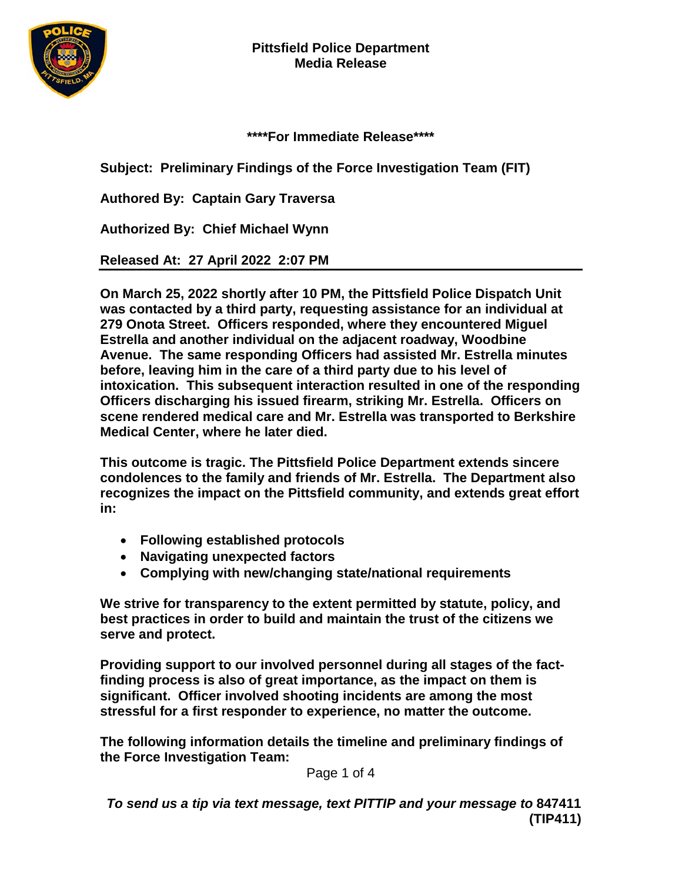

**\*\*\*\*For Immediate Release\*\*\*\***

**Subject: Preliminary Findings of the Force Investigation Team (FIT)**

**Authored By: Captain Gary Traversa**

**Authorized By: Chief Michael Wynn**

**Released At: 27 April 2022 2:07 PM**

**On March 25, 2022 shortly after 10 PM, the Pittsfield Police Dispatch Unit was contacted by a third party, requesting assistance for an individual at 279 Onota Street. Officers responded, where they encountered Miguel Estrella and another individual on the adjacent roadway, Woodbine Avenue. The same responding Officers had assisted Mr. Estrella minutes before, leaving him in the care of a third party due to his level of intoxication. This subsequent interaction resulted in one of the responding Officers discharging his issued firearm, striking Mr. Estrella. Officers on scene rendered medical care and Mr. Estrella was transported to Berkshire Medical Center, where he later died.**

**This outcome is tragic. The Pittsfield Police Department extends sincere condolences to the family and friends of Mr. Estrella. The Department also recognizes the impact on the Pittsfield community, and extends great effort in:**

- **Following established protocols**
- **Navigating unexpected factors**
- **Complying with new/changing state/national requirements**

**We strive for transparency to the extent permitted by statute, policy, and best practices in order to build and maintain the trust of the citizens we serve and protect.**

**Providing support to our involved personnel during all stages of the factfinding process is also of great importance, as the impact on them is significant. Officer involved shooting incidents are among the most stressful for a first responder to experience, no matter the outcome.** 

**The following information details the timeline and preliminary findings of the Force Investigation Team:**

Page 1 of 4

*To send us a tip via text message, text PITTIP and your message to* **847411 (TIP411)**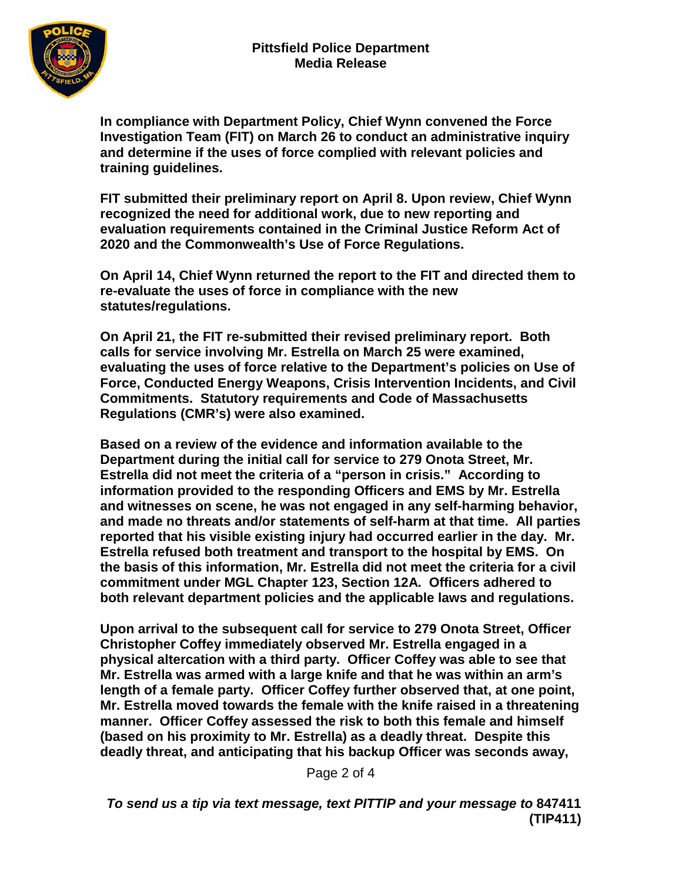

**In compliance with Department Policy, Chief Wynn convened the Force Investigation Team (FIT) on March 26 to conduct an administrative inquiry and determine if the uses of force complied with relevant policies and training guidelines.**

**FIT submitted their preliminary report on April 8. Upon review, Chief Wynn recognized the need for additional work, due to new reporting and evaluation requirements contained in the Criminal Justice Reform Act of 2020 and the Commonwealth's Use of Force Regulations.**

**On April 14, Chief Wynn returned the report to the FIT and directed them to re-evaluate the uses of force in compliance with the new statutes/regulations.**

**On April 21, the FIT re-submitted their revised preliminary report. Both calls for service involving Mr. Estrella on March 25 were examined, evaluating the uses of force relative to the Department's policies on Use of Force, Conducted Energy Weapons, Crisis Intervention Incidents, and Civil Commitments. Statutory requirements and Code of Massachusetts Regulations (CMR's) were also examined.**

**Based on a review of the evidence and information available to the Department during the initial call for service to 279 Onota Street, Mr. Estrella did not meet the criteria of a "person in crisis." According to information provided to the responding Officers and EMS by Mr. Estrella and witnesses on scene, he was not engaged in any self-harming behavior, and made no threats and/or statements of self-harm at that time. All parties reported that his visible existing injury had occurred earlier in the day. Mr. Estrella refused both treatment and transport to the hospital by EMS. On the basis of this information, Mr. Estrella did not meet the criteria for a civil commitment under MGL Chapter 123, Section 12A. Officers adhered to both relevant department policies and the applicable laws and regulations.**

**Upon arrival to the subsequent call for service to 279 Onota Street, Officer Christopher Coffey immediately observed Mr. Estrella engaged in a physical altercation with a third party. Officer Coffey was able to see that Mr. Estrella was armed with a large knife and that he was within an arm's length of a female party. Officer Coffey further observed that, at one point, Mr. Estrella moved towards the female with the knife raised in a threatening manner. Officer Coffey assessed the risk to both this female and himself (based on his proximity to Mr. Estrella) as a deadly threat. Despite this deadly threat, and anticipating that his backup Officer was seconds away,** 

Page 2 of 4

*To send us a tip via text message, text PITTIP and your message to* **847411 (TIP411)**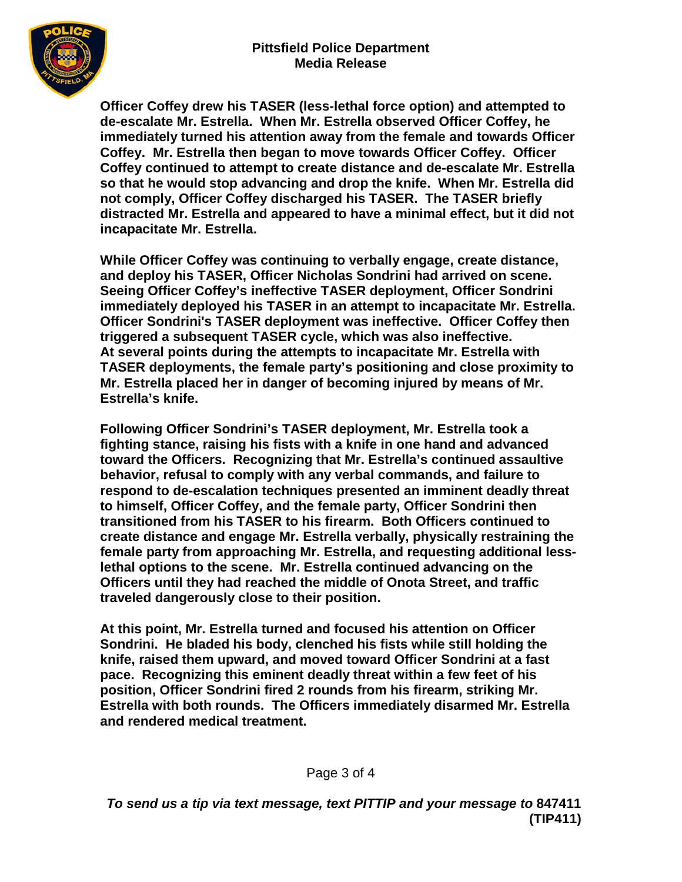

**Officer Coffey drew his TASER (less-lethal force option) and attempted to de-escalate Mr. Estrella. When Mr. Estrella observed Officer Coffey, he immediately turned his attention away from the female and towards Officer Coffey. Mr. Estrella then began to move towards Officer Coffey. Officer Coffey continued to attempt to create distance and de-escalate Mr. Estrella so that he would stop advancing and drop the knife. When Mr. Estrella did not comply, Officer Coffey discharged his TASER. The TASER briefly distracted Mr. Estrella and appeared to have a minimal effect, but it did not incapacitate Mr. Estrella.**

**While Officer Coffey was continuing to verbally engage, create distance, and deploy his TASER, Officer Nicholas Sondrini had arrived on scene. Seeing Officer Coffey's ineffective TASER deployment, Officer Sondrini immediately deployed his TASER in an attempt to incapacitate Mr. Estrella. Officer Sondrini's TASER deployment was ineffective. Officer Coffey then triggered a subsequent TASER cycle, which was also ineffective. At several points during the attempts to incapacitate Mr. Estrella with TASER deployments, the female party's positioning and close proximity to Mr. Estrella placed her in danger of becoming injured by means of Mr. Estrella's knife.** 

**Following Officer Sondrini's TASER deployment, Mr. Estrella took a fighting stance, raising his fists with a knife in one hand and advanced toward the Officers. Recognizing that Mr. Estrella's continued assaultive behavior, refusal to comply with any verbal commands, and failure to respond to de-escalation techniques presented an imminent deadly threat to himself, Officer Coffey, and the female party, Officer Sondrini then transitioned from his TASER to his firearm. Both Officers continued to create distance and engage Mr. Estrella verbally, physically restraining the female party from approaching Mr. Estrella, and requesting additional lesslethal options to the scene. Mr. Estrella continued advancing on the Officers until they had reached the middle of Onota Street, and traffic traveled dangerously close to their position.**

**At this point, Mr. Estrella turned and focused his attention on Officer Sondrini. He bladed his body, clenched his fists while still holding the knife, raised them upward, and moved toward Officer Sondrini at a fast pace. Recognizing this eminent deadly threat within a few feet of his position, Officer Sondrini fired 2 rounds from his firearm, striking Mr. Estrella with both rounds. The Officers immediately disarmed Mr. Estrella and rendered medical treatment.**